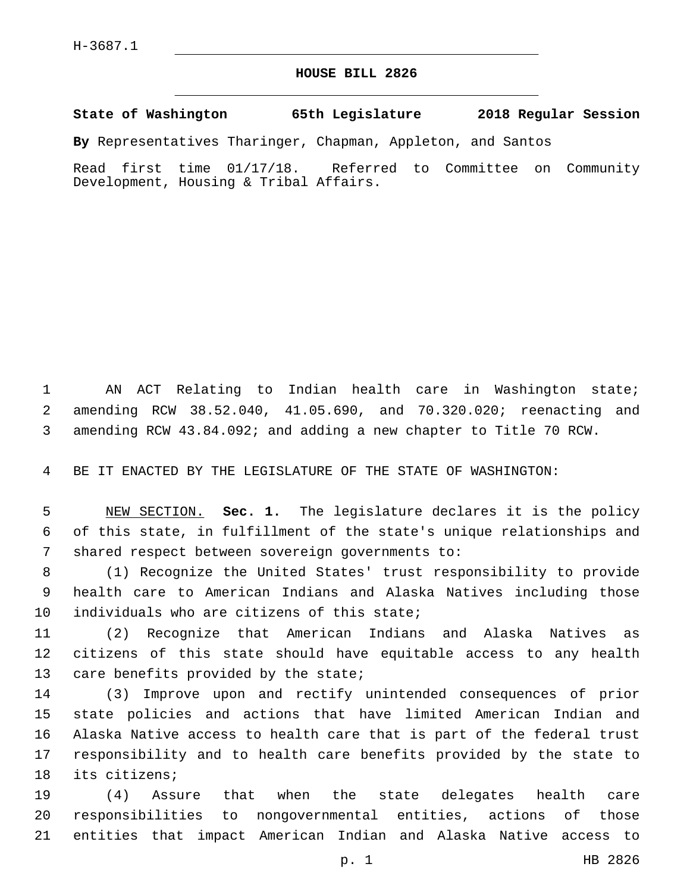## **HOUSE BILL 2826**

**State of Washington 65th Legislature 2018 Regular Session**

**By** Representatives Tharinger, Chapman, Appleton, and Santos

Read first time 01/17/18. Referred to Committee on Community Development, Housing & Tribal Affairs.

 AN ACT Relating to Indian health care in Washington state; amending RCW 38.52.040, 41.05.690, and 70.320.020; reenacting and amending RCW 43.84.092; and adding a new chapter to Title 70 RCW.

BE IT ENACTED BY THE LEGISLATURE OF THE STATE OF WASHINGTON:

 NEW SECTION. **Sec. 1.** The legislature declares it is the policy of this state, in fulfillment of the state's unique relationships and shared respect between sovereign governments to:

 (1) Recognize the United States' trust responsibility to provide health care to American Indians and Alaska Natives including those 10 individuals who are citizens of this state;

 (2) Recognize that American Indians and Alaska Natives as citizens of this state should have equitable access to any health 13 care benefits provided by the state;

 (3) Improve upon and rectify unintended consequences of prior state policies and actions that have limited American Indian and Alaska Native access to health care that is part of the federal trust responsibility and to health care benefits provided by the state to 18 its citizens;

 (4) Assure that when the state delegates health care responsibilities to nongovernmental entities, actions of those entities that impact American Indian and Alaska Native access to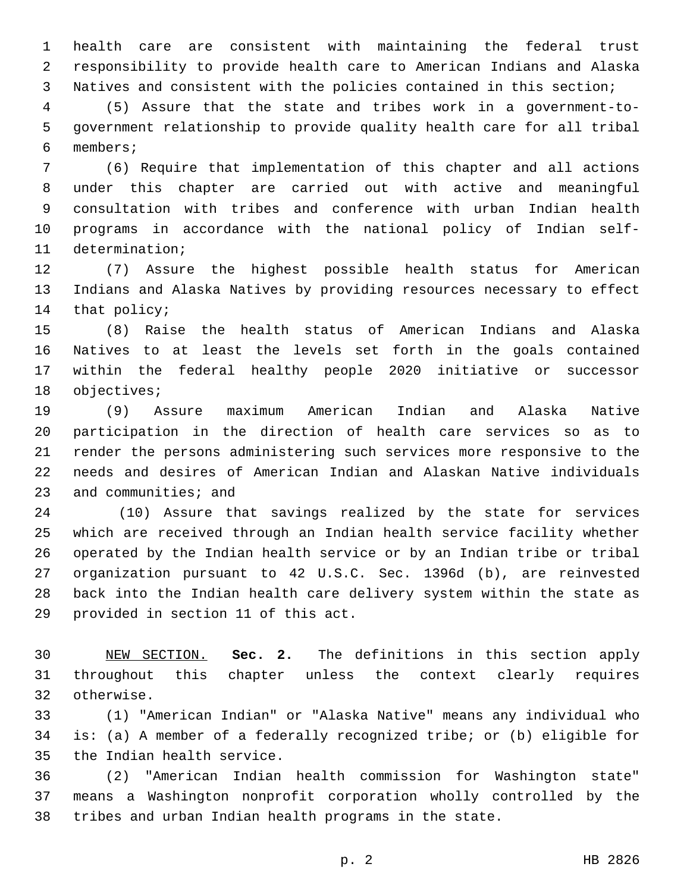health care are consistent with maintaining the federal trust responsibility to provide health care to American Indians and Alaska Natives and consistent with the policies contained in this section;

 (5) Assure that the state and tribes work in a government-to- government relationship to provide quality health care for all tribal members;6

 (6) Require that implementation of this chapter and all actions under this chapter are carried out with active and meaningful consultation with tribes and conference with urban Indian health programs in accordance with the national policy of Indian self-11 determination;

 (7) Assure the highest possible health status for American Indians and Alaska Natives by providing resources necessary to effect 14 that policy;

 (8) Raise the health status of American Indians and Alaska Natives to at least the levels set forth in the goals contained within the federal healthy people 2020 initiative or successor 18 objectives;

 (9) Assure maximum American Indian and Alaska Native participation in the direction of health care services so as to render the persons administering such services more responsive to the needs and desires of American Indian and Alaskan Native individuals 23 and communities; and

 (10) Assure that savings realized by the state for services which are received through an Indian health service facility whether operated by the Indian health service or by an Indian tribe or tribal organization pursuant to 42 U.S.C. Sec. 1396d (b), are reinvested back into the Indian health care delivery system within the state as 29 provided in section 11 of this act.

 NEW SECTION. **Sec. 2.** The definitions in this section apply throughout this chapter unless the context clearly requires otherwise.

 (1) "American Indian" or "Alaska Native" means any individual who is: (a) A member of a federally recognized tribe; or (b) eligible for 35 the Indian health service.

 (2) "American Indian health commission for Washington state" means a Washington nonprofit corporation wholly controlled by the tribes and urban Indian health programs in the state.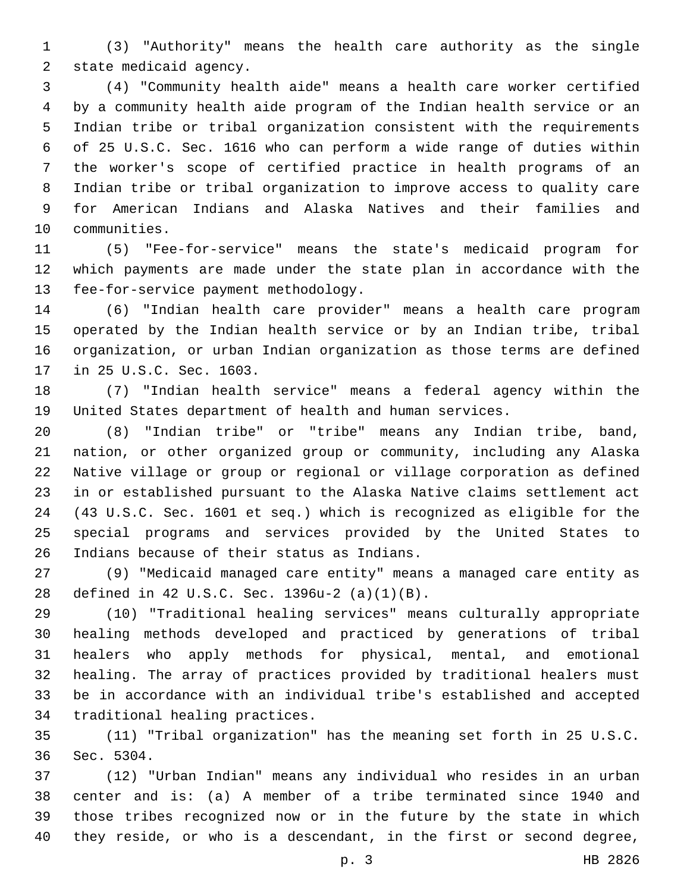(3) "Authority" means the health care authority as the single 2 state medicaid agency.

 (4) "Community health aide" means a health care worker certified by a community health aide program of the Indian health service or an Indian tribe or tribal organization consistent with the requirements of 25 U.S.C. Sec. 1616 who can perform a wide range of duties within the worker's scope of certified practice in health programs of an Indian tribe or tribal organization to improve access to quality care for American Indians and Alaska Natives and their families and 10 communities.

 (5) "Fee-for-service" means the state's medicaid program for which payments are made under the state plan in accordance with the 13 fee-for-service payment methodology.

 (6) "Indian health care provider" means a health care program operated by the Indian health service or by an Indian tribe, tribal organization, or urban Indian organization as those terms are defined 17 in 25 U.S.C. Sec. 1603.

 (7) "Indian health service" means a federal agency within the United States department of health and human services.

 (8) "Indian tribe" or "tribe" means any Indian tribe, band, nation, or other organized group or community, including any Alaska Native village or group or regional or village corporation as defined in or established pursuant to the Alaska Native claims settlement act (43 U.S.C. Sec. 1601 et seq.) which is recognized as eligible for the special programs and services provided by the United States to 26 Indians because of their status as Indians.

 (9) "Medicaid managed care entity" means a managed care entity as defined in 42 U.S.C. Sec. 1396u-2 (a)(1)(B).28

 (10) "Traditional healing services" means culturally appropriate healing methods developed and practiced by generations of tribal healers who apply methods for physical, mental, and emotional healing. The array of practices provided by traditional healers must be in accordance with an individual tribe's established and accepted 34 traditional healing practices.

 (11) "Tribal organization" has the meaning set forth in 25 U.S.C. 36 Sec. 5304.

 (12) "Urban Indian" means any individual who resides in an urban center and is: (a) A member of a tribe terminated since 1940 and those tribes recognized now or in the future by the state in which they reside, or who is a descendant, in the first or second degree,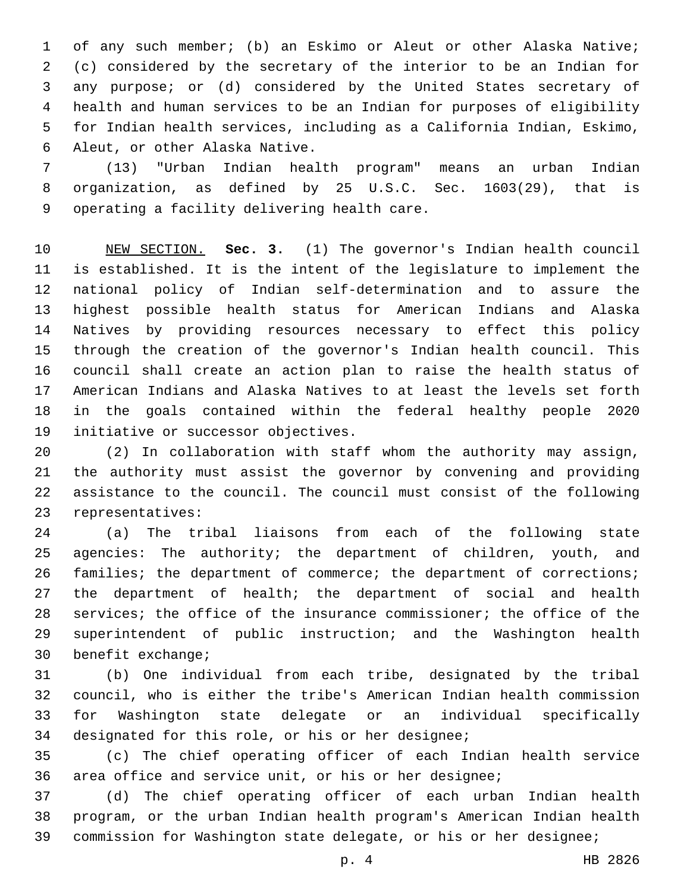of any such member; (b) an Eskimo or Aleut or other Alaska Native; (c) considered by the secretary of the interior to be an Indian for any purpose; or (d) considered by the United States secretary of health and human services to be an Indian for purposes of eligibility for Indian health services, including as a California Indian, Eskimo, 6 Aleut, or other Alaska Native.

 (13) "Urban Indian health program" means an urban Indian organization, as defined by 25 U.S.C. Sec. 1603(29), that is 9 operating a facility delivering health care.

 NEW SECTION. **Sec. 3.** (1) The governor's Indian health council is established. It is the intent of the legislature to implement the national policy of Indian self-determination and to assure the highest possible health status for American Indians and Alaska Natives by providing resources necessary to effect this policy through the creation of the governor's Indian health council. This council shall create an action plan to raise the health status of American Indians and Alaska Natives to at least the levels set forth in the goals contained within the federal healthy people 2020 initiative or successor objectives.

 (2) In collaboration with staff whom the authority may assign, the authority must assist the governor by convening and providing assistance to the council. The council must consist of the following 23 representatives:

 (a) The tribal liaisons from each of the following state agencies: The authority; the department of children, youth, and 26 families; the department of commerce; the department of corrections; the department of health; the department of social and health services; the office of the insurance commissioner; the office of the superintendent of public instruction; and the Washington health 30 benefit exchange;

 (b) One individual from each tribe, designated by the tribal council, who is either the tribe's American Indian health commission for Washington state delegate or an individual specifically 34 designated for this role, or his or her designee;

 (c) The chief operating officer of each Indian health service area office and service unit, or his or her designee;

 (d) The chief operating officer of each urban Indian health program, or the urban Indian health program's American Indian health commission for Washington state delegate, or his or her designee;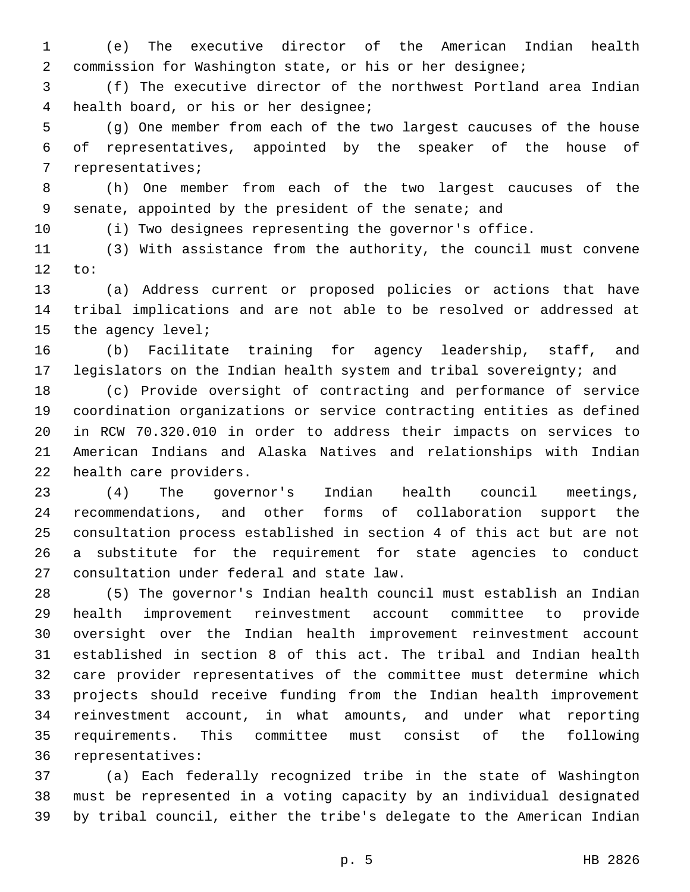(e) The executive director of the American Indian health commission for Washington state, or his or her designee;

 (f) The executive director of the northwest Portland area Indian health board, or his or her designee;4

 (g) One member from each of the two largest caucuses of the house of representatives, appointed by the speaker of the house of 7 representatives;

 (h) One member from each of the two largest caucuses of the senate, appointed by the president of the senate; and

(i) Two designees representing the governor's office.

 (3) With assistance from the authority, the council must convene to:

 (a) Address current or proposed policies or actions that have tribal implications and are not able to be resolved or addressed at 15 the agency level;

 (b) Facilitate training for agency leadership, staff, and legislators on the Indian health system and tribal sovereignty; and

 (c) Provide oversight of contracting and performance of service coordination organizations or service contracting entities as defined in RCW 70.320.010 in order to address their impacts on services to American Indians and Alaska Natives and relationships with Indian 22 health care providers.

 (4) The governor's Indian health council meetings, recommendations, and other forms of collaboration support the consultation process established in section 4 of this act but are not a substitute for the requirement for state agencies to conduct 27 consultation under federal and state law.

 (5) The governor's Indian health council must establish an Indian health improvement reinvestment account committee to provide oversight over the Indian health improvement reinvestment account established in section 8 of this act. The tribal and Indian health care provider representatives of the committee must determine which projects should receive funding from the Indian health improvement reinvestment account, in what amounts, and under what reporting requirements. This committee must consist of the following 36 representatives:

 (a) Each federally recognized tribe in the state of Washington must be represented in a voting capacity by an individual designated by tribal council, either the tribe's delegate to the American Indian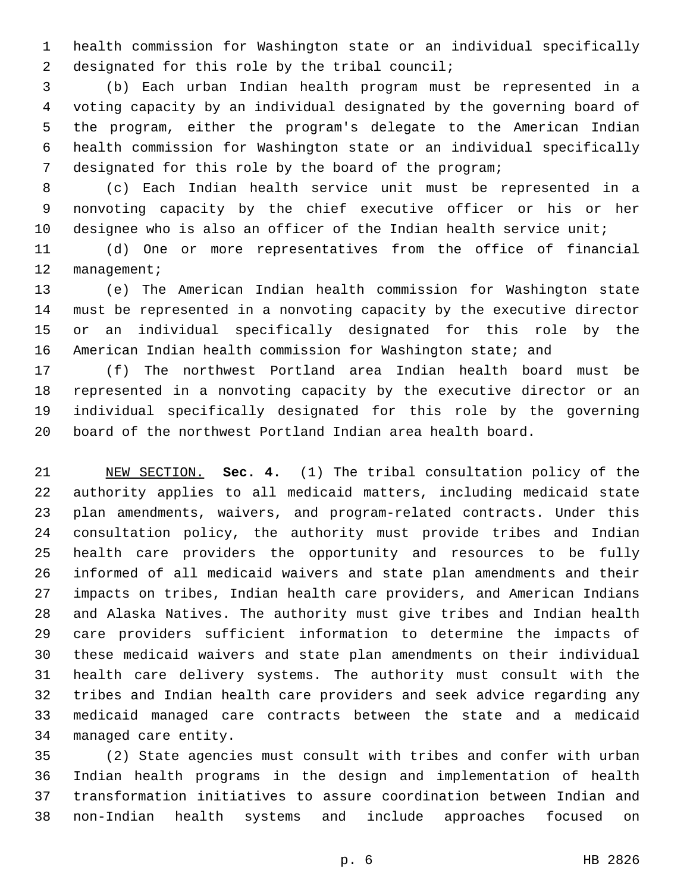health commission for Washington state or an individual specifically 2 designated for this role by the tribal council;

 (b) Each urban Indian health program must be represented in a voting capacity by an individual designated by the governing board of the program, either the program's delegate to the American Indian health commission for Washington state or an individual specifically designated for this role by the board of the program;

 (c) Each Indian health service unit must be represented in a nonvoting capacity by the chief executive officer or his or her designee who is also an officer of the Indian health service unit;

 (d) One or more representatives from the office of financial 12 management;

 (e) The American Indian health commission for Washington state must be represented in a nonvoting capacity by the executive director or an individual specifically designated for this role by the American Indian health commission for Washington state; and

 (f) The northwest Portland area Indian health board must be represented in a nonvoting capacity by the executive director or an individual specifically designated for this role by the governing board of the northwest Portland Indian area health board.

 NEW SECTION. **Sec. 4.** (1) The tribal consultation policy of the authority applies to all medicaid matters, including medicaid state plan amendments, waivers, and program-related contracts. Under this consultation policy, the authority must provide tribes and Indian health care providers the opportunity and resources to be fully informed of all medicaid waivers and state plan amendments and their impacts on tribes, Indian health care providers, and American Indians and Alaska Natives. The authority must give tribes and Indian health care providers sufficient information to determine the impacts of these medicaid waivers and state plan amendments on their individual health care delivery systems. The authority must consult with the tribes and Indian health care providers and seek advice regarding any medicaid managed care contracts between the state and a medicaid managed care entity.

 (2) State agencies must consult with tribes and confer with urban Indian health programs in the design and implementation of health transformation initiatives to assure coordination between Indian and non-Indian health systems and include approaches focused on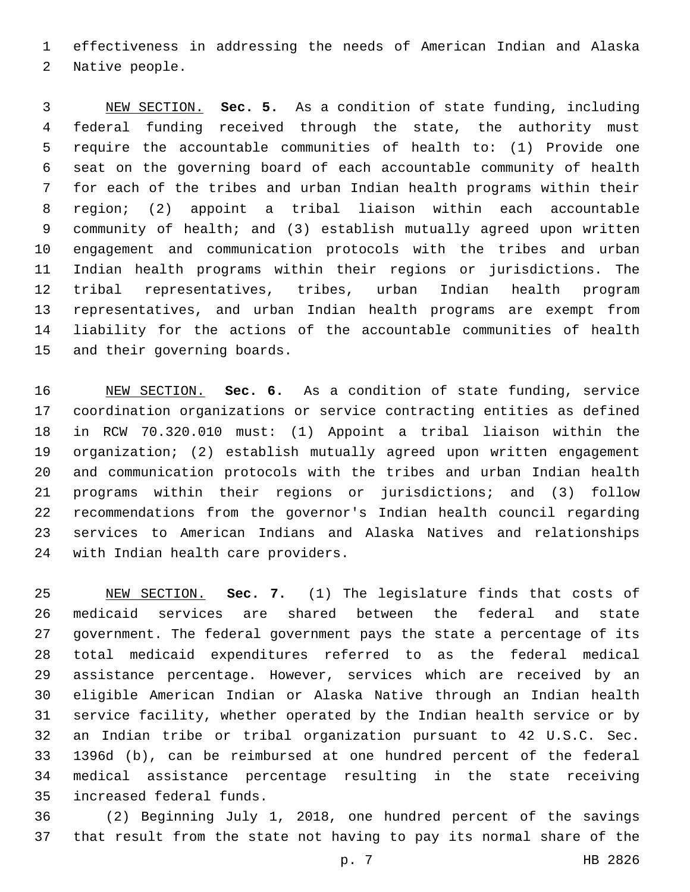effectiveness in addressing the needs of American Indian and Alaska 2 Native people.

 NEW SECTION. **Sec. 5.** As a condition of state funding, including federal funding received through the state, the authority must require the accountable communities of health to: (1) Provide one seat on the governing board of each accountable community of health for each of the tribes and urban Indian health programs within their region; (2) appoint a tribal liaison within each accountable community of health; and (3) establish mutually agreed upon written engagement and communication protocols with the tribes and urban Indian health programs within their regions or jurisdictions. The tribal representatives, tribes, urban Indian health program representatives, and urban Indian health programs are exempt from liability for the actions of the accountable communities of health and their governing boards.

 NEW SECTION. **Sec. 6.** As a condition of state funding, service coordination organizations or service contracting entities as defined in RCW 70.320.010 must: (1) Appoint a tribal liaison within the organization; (2) establish mutually agreed upon written engagement and communication protocols with the tribes and urban Indian health programs within their regions or jurisdictions; and (3) follow recommendations from the governor's Indian health council regarding services to American Indians and Alaska Natives and relationships with Indian health care providers.

 NEW SECTION. **Sec. 7.** (1) The legislature finds that costs of medicaid services are shared between the federal and state government. The federal government pays the state a percentage of its total medicaid expenditures referred to as the federal medical assistance percentage. However, services which are received by an eligible American Indian or Alaska Native through an Indian health service facility, whether operated by the Indian health service or by an Indian tribe or tribal organization pursuant to 42 U.S.C. Sec. 1396d (b), can be reimbursed at one hundred percent of the federal medical assistance percentage resulting in the state receiving increased federal funds.

 (2) Beginning July 1, 2018, one hundred percent of the savings that result from the state not having to pay its normal share of the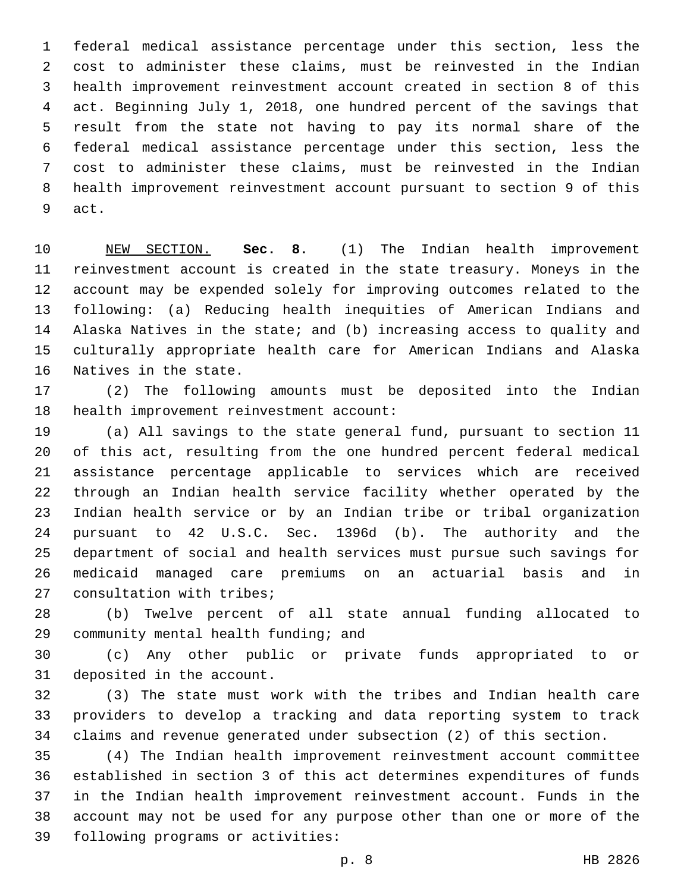federal medical assistance percentage under this section, less the cost to administer these claims, must be reinvested in the Indian health improvement reinvestment account created in section 8 of this act. Beginning July 1, 2018, one hundred percent of the savings that result from the state not having to pay its normal share of the federal medical assistance percentage under this section, less the cost to administer these claims, must be reinvested in the Indian health improvement reinvestment account pursuant to section 9 of this 9 act.

 NEW SECTION. **Sec. 8.** (1) The Indian health improvement reinvestment account is created in the state treasury. Moneys in the account may be expended solely for improving outcomes related to the following: (a) Reducing health inequities of American Indians and Alaska Natives in the state; and (b) increasing access to quality and culturally appropriate health care for American Indians and Alaska Natives in the state.

 (2) The following amounts must be deposited into the Indian 18 health improvement reinvestment account:

 (a) All savings to the state general fund, pursuant to section 11 of this act, resulting from the one hundred percent federal medical assistance percentage applicable to services which are received through an Indian health service facility whether operated by the Indian health service or by an Indian tribe or tribal organization pursuant to 42 U.S.C. Sec. 1396d (b). The authority and the department of social and health services must pursue such savings for medicaid managed care premiums on an actuarial basis and in 27 consultation with tribes;

 (b) Twelve percent of all state annual funding allocated to 29 community mental health funding; and

 (c) Any other public or private funds appropriated to or 31 deposited in the account.

 (3) The state must work with the tribes and Indian health care providers to develop a tracking and data reporting system to track claims and revenue generated under subsection (2) of this section.

 (4) The Indian health improvement reinvestment account committee established in section 3 of this act determines expenditures of funds in the Indian health improvement reinvestment account. Funds in the account may not be used for any purpose other than one or more of the 39 following programs or activities: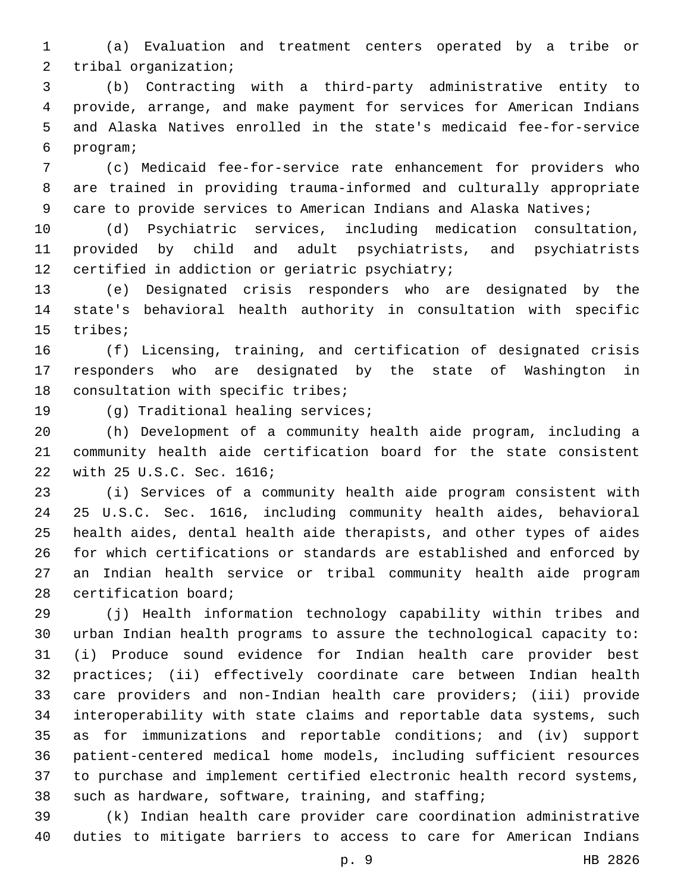(a) Evaluation and treatment centers operated by a tribe or 2 tribal organization;

 (b) Contracting with a third-party administrative entity to provide, arrange, and make payment for services for American Indians and Alaska Natives enrolled in the state's medicaid fee-for-service program;6

 (c) Medicaid fee-for-service rate enhancement for providers who are trained in providing trauma-informed and culturally appropriate 9 care to provide services to American Indians and Alaska Natives;

 (d) Psychiatric services, including medication consultation, provided by child and adult psychiatrists, and psychiatrists 12 certified in addiction or geriatric psychiatry;

 (e) Designated crisis responders who are designated by the state's behavioral health authority in consultation with specific 15 tribes;

 (f) Licensing, training, and certification of designated crisis responders who are designated by the state of Washington in 18 consultation with specific tribes;

19 (g) Traditional healing services;

 (h) Development of a community health aide program, including a community health aide certification board for the state consistent 22 with 25 U.S.C. Sec. 1616;

 (i) Services of a community health aide program consistent with 25 U.S.C. Sec. 1616, including community health aides, behavioral health aides, dental health aide therapists, and other types of aides for which certifications or standards are established and enforced by an Indian health service or tribal community health aide program 28 certification board;

 (j) Health information technology capability within tribes and urban Indian health programs to assure the technological capacity to: (i) Produce sound evidence for Indian health care provider best practices; (ii) effectively coordinate care between Indian health care providers and non-Indian health care providers; (iii) provide interoperability with state claims and reportable data systems, such as for immunizations and reportable conditions; and (iv) support patient-centered medical home models, including sufficient resources to purchase and implement certified electronic health record systems, such as hardware, software, training, and staffing;

 (k) Indian health care provider care coordination administrative duties to mitigate barriers to access to care for American Indians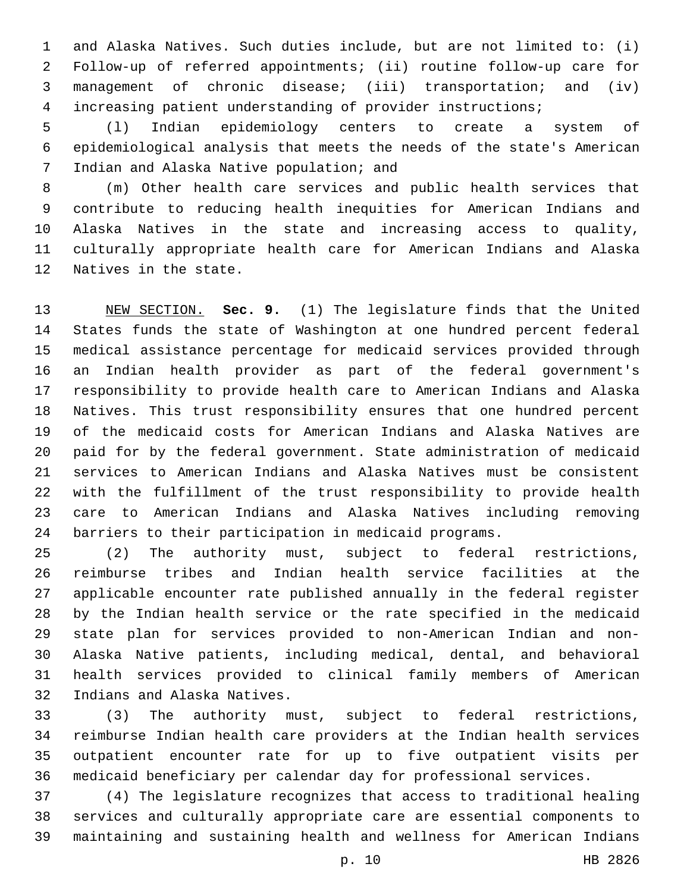and Alaska Natives. Such duties include, but are not limited to: (i) Follow-up of referred appointments; (ii) routine follow-up care for management of chronic disease; (iii) transportation; and (iv) increasing patient understanding of provider instructions;

 (l) Indian epidemiology centers to create a system of epidemiological analysis that meets the needs of the state's American 7 Indian and Alaska Native population; and

 (m) Other health care services and public health services that contribute to reducing health inequities for American Indians and Alaska Natives in the state and increasing access to quality, culturally appropriate health care for American Indians and Alaska 12 Natives in the state.

 NEW SECTION. **Sec. 9.** (1) The legislature finds that the United States funds the state of Washington at one hundred percent federal medical assistance percentage for medicaid services provided through an Indian health provider as part of the federal government's responsibility to provide health care to American Indians and Alaska Natives. This trust responsibility ensures that one hundred percent of the medicaid costs for American Indians and Alaska Natives are paid for by the federal government. State administration of medicaid services to American Indians and Alaska Natives must be consistent with the fulfillment of the trust responsibility to provide health care to American Indians and Alaska Natives including removing barriers to their participation in medicaid programs.

 (2) The authority must, subject to federal restrictions, reimburse tribes and Indian health service facilities at the applicable encounter rate published annually in the federal register by the Indian health service or the rate specified in the medicaid state plan for services provided to non-American Indian and non- Alaska Native patients, including medical, dental, and behavioral health services provided to clinical family members of American 32 Indians and Alaska Natives.

 (3) The authority must, subject to federal restrictions, reimburse Indian health care providers at the Indian health services outpatient encounter rate for up to five outpatient visits per medicaid beneficiary per calendar day for professional services.

 (4) The legislature recognizes that access to traditional healing services and culturally appropriate care are essential components to maintaining and sustaining health and wellness for American Indians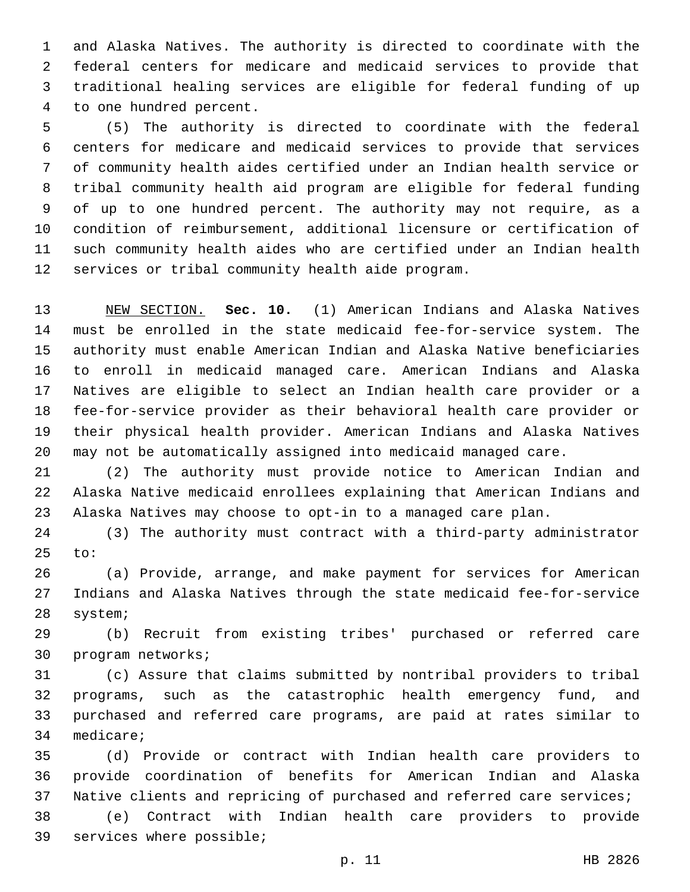and Alaska Natives. The authority is directed to coordinate with the federal centers for medicare and medicaid services to provide that traditional healing services are eligible for federal funding of up 4 to one hundred percent.

 (5) The authority is directed to coordinate with the federal centers for medicare and medicaid services to provide that services of community health aides certified under an Indian health service or tribal community health aid program are eligible for federal funding of up to one hundred percent. The authority may not require, as a condition of reimbursement, additional licensure or certification of such community health aides who are certified under an Indian health 12 services or tribal community health aide program.

 NEW SECTION. **Sec. 10.** (1) American Indians and Alaska Natives must be enrolled in the state medicaid fee-for-service system. The authority must enable American Indian and Alaska Native beneficiaries to enroll in medicaid managed care. American Indians and Alaska Natives are eligible to select an Indian health care provider or a fee-for-service provider as their behavioral health care provider or their physical health provider. American Indians and Alaska Natives may not be automatically assigned into medicaid managed care.

 (2) The authority must provide notice to American Indian and Alaska Native medicaid enrollees explaining that American Indians and Alaska Natives may choose to opt-in to a managed care plan.

 (3) The authority must contract with a third-party administrator to:

 (a) Provide, arrange, and make payment for services for American Indians and Alaska Natives through the state medicaid fee-for-service 28 system;

 (b) Recruit from existing tribes' purchased or referred care 30 program networks;

 (c) Assure that claims submitted by nontribal providers to tribal programs, such as the catastrophic health emergency fund, and purchased and referred care programs, are paid at rates similar to 34 medicare;

 (d) Provide or contract with Indian health care providers to provide coordination of benefits for American Indian and Alaska Native clients and repricing of purchased and referred care services;

 (e) Contract with Indian health care providers to provide 39 services where possible;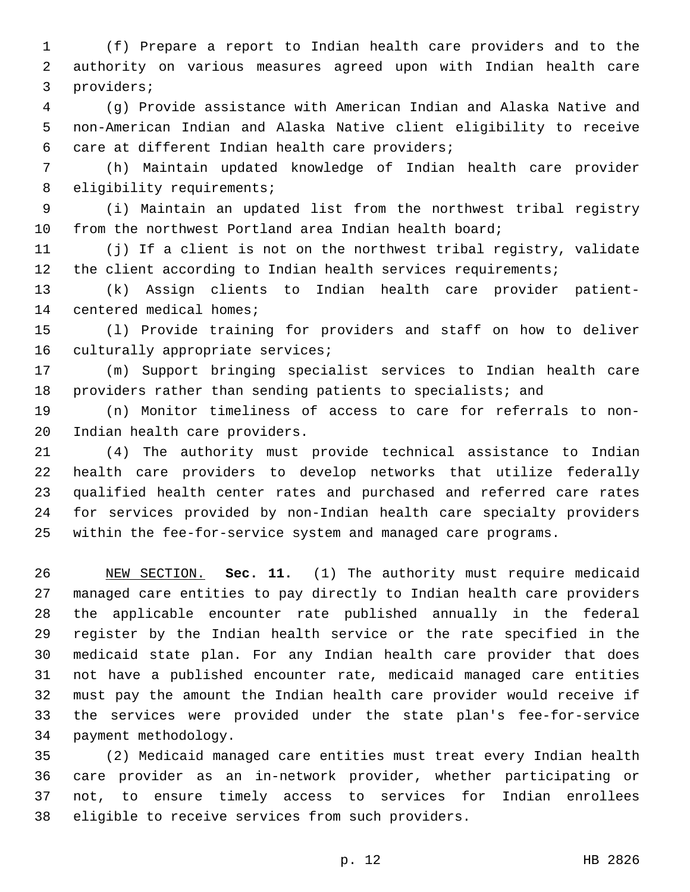(f) Prepare a report to Indian health care providers and to the authority on various measures agreed upon with Indian health care 3 providers;

 (g) Provide assistance with American Indian and Alaska Native and non-American Indian and Alaska Native client eligibility to receive 6 care at different Indian health care providers;

 (h) Maintain updated knowledge of Indian health care provider 8 eligibility requirements;

 (i) Maintain an updated list from the northwest tribal registry from the northwest Portland area Indian health board;

 (j) If a client is not on the northwest tribal registry, validate the client according to Indian health services requirements;

 (k) Assign clients to Indian health care provider patient-14 centered medical homes;

 (l) Provide training for providers and staff on how to deliver 16 culturally appropriate services;

 (m) Support bringing specialist services to Indian health care providers rather than sending patients to specialists; and

 (n) Monitor timeliness of access to care for referrals to non-20 Indian health care providers.

 (4) The authority must provide technical assistance to Indian health care providers to develop networks that utilize federally qualified health center rates and purchased and referred care rates for services provided by non-Indian health care specialty providers within the fee-for-service system and managed care programs.

 NEW SECTION. **Sec. 11.** (1) The authority must require medicaid managed care entities to pay directly to Indian health care providers the applicable encounter rate published annually in the federal register by the Indian health service or the rate specified in the medicaid state plan. For any Indian health care provider that does not have a published encounter rate, medicaid managed care entities must pay the amount the Indian health care provider would receive if the services were provided under the state plan's fee-for-service payment methodology.

 (2) Medicaid managed care entities must treat every Indian health care provider as an in-network provider, whether participating or not, to ensure timely access to services for Indian enrollees 38 eligible to receive services from such providers.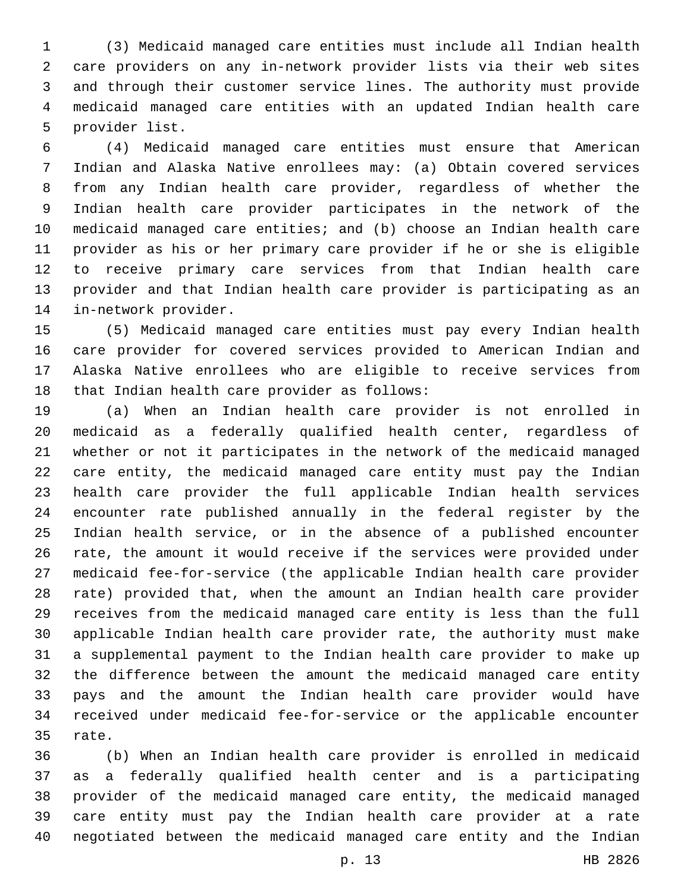(3) Medicaid managed care entities must include all Indian health care providers on any in-network provider lists via their web sites and through their customer service lines. The authority must provide medicaid managed care entities with an updated Indian health care 5 provider list.

 (4) Medicaid managed care entities must ensure that American Indian and Alaska Native enrollees may: (a) Obtain covered services from any Indian health care provider, regardless of whether the Indian health care provider participates in the network of the medicaid managed care entities; and (b) choose an Indian health care provider as his or her primary care provider if he or she is eligible to receive primary care services from that Indian health care provider and that Indian health care provider is participating as an 14 in-network provider.

 (5) Medicaid managed care entities must pay every Indian health care provider for covered services provided to American Indian and Alaska Native enrollees who are eligible to receive services from 18 that Indian health care provider as follows:

 (a) When an Indian health care provider is not enrolled in medicaid as a federally qualified health center, regardless of whether or not it participates in the network of the medicaid managed care entity, the medicaid managed care entity must pay the Indian health care provider the full applicable Indian health services encounter rate published annually in the federal register by the Indian health service, or in the absence of a published encounter rate, the amount it would receive if the services were provided under medicaid fee-for-service (the applicable Indian health care provider rate) provided that, when the amount an Indian health care provider receives from the medicaid managed care entity is less than the full applicable Indian health care provider rate, the authority must make a supplemental payment to the Indian health care provider to make up the difference between the amount the medicaid managed care entity pays and the amount the Indian health care provider would have received under medicaid fee-for-service or the applicable encounter 35 rate.

 (b) When an Indian health care provider is enrolled in medicaid as a federally qualified health center and is a participating provider of the medicaid managed care entity, the medicaid managed care entity must pay the Indian health care provider at a rate negotiated between the medicaid managed care entity and the Indian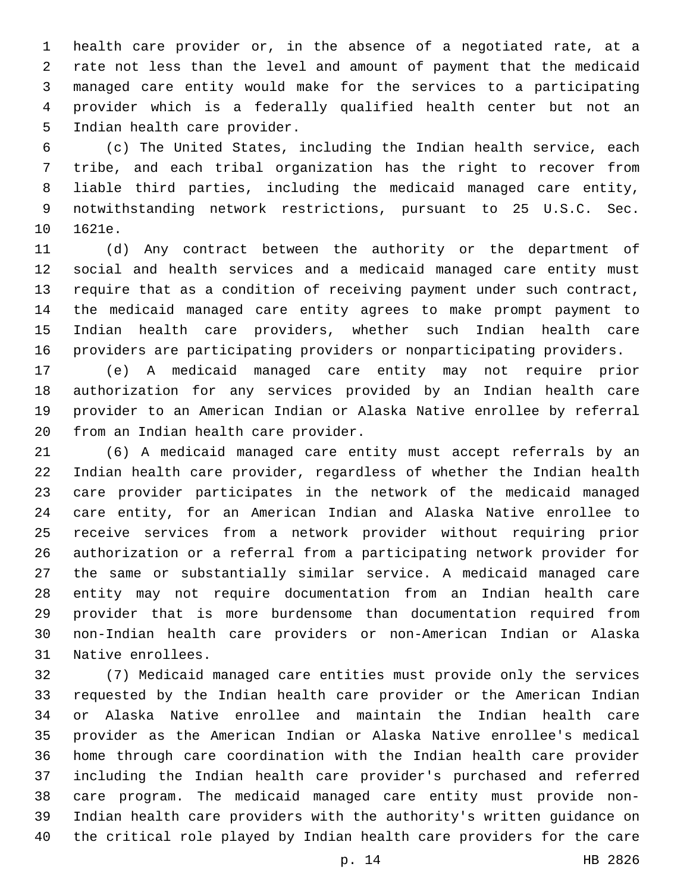health care provider or, in the absence of a negotiated rate, at a rate not less than the level and amount of payment that the medicaid managed care entity would make for the services to a participating provider which is a federally qualified health center but not an 5 Indian health care provider.

 (c) The United States, including the Indian health service, each tribe, and each tribal organization has the right to recover from liable third parties, including the medicaid managed care entity, notwithstanding network restrictions, pursuant to 25 U.S.C. Sec. 10 1621e.

 (d) Any contract between the authority or the department of social and health services and a medicaid managed care entity must require that as a condition of receiving payment under such contract, the medicaid managed care entity agrees to make prompt payment to Indian health care providers, whether such Indian health care providers are participating providers or nonparticipating providers.

 (e) A medicaid managed care entity may not require prior authorization for any services provided by an Indian health care provider to an American Indian or Alaska Native enrollee by referral 20 from an Indian health care provider.

 (6) A medicaid managed care entity must accept referrals by an Indian health care provider, regardless of whether the Indian health care provider participates in the network of the medicaid managed care entity, for an American Indian and Alaska Native enrollee to receive services from a network provider without requiring prior authorization or a referral from a participating network provider for the same or substantially similar service. A medicaid managed care entity may not require documentation from an Indian health care provider that is more burdensome than documentation required from non-Indian health care providers or non-American Indian or Alaska 31 Native enrollees.

 (7) Medicaid managed care entities must provide only the services requested by the Indian health care provider or the American Indian or Alaska Native enrollee and maintain the Indian health care provider as the American Indian or Alaska Native enrollee's medical home through care coordination with the Indian health care provider including the Indian health care provider's purchased and referred care program. The medicaid managed care entity must provide non- Indian health care providers with the authority's written guidance on the critical role played by Indian health care providers for the care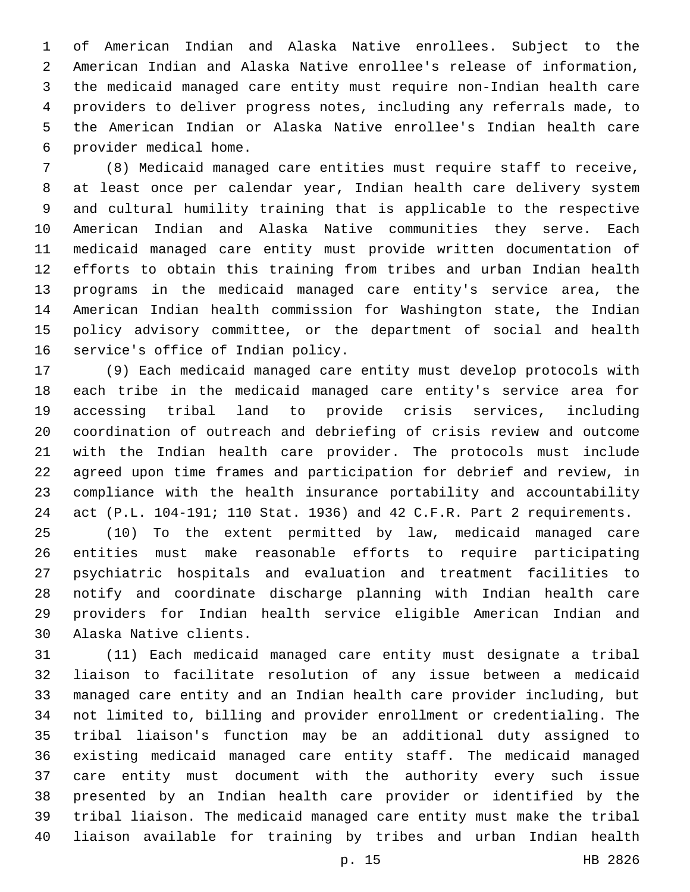of American Indian and Alaska Native enrollees. Subject to the American Indian and Alaska Native enrollee's release of information, the medicaid managed care entity must require non-Indian health care providers to deliver progress notes, including any referrals made, to the American Indian or Alaska Native enrollee's Indian health care provider medical home.6

 (8) Medicaid managed care entities must require staff to receive, at least once per calendar year, Indian health care delivery system and cultural humility training that is applicable to the respective American Indian and Alaska Native communities they serve. Each medicaid managed care entity must provide written documentation of efforts to obtain this training from tribes and urban Indian health programs in the medicaid managed care entity's service area, the American Indian health commission for Washington state, the Indian policy advisory committee, or the department of social and health 16 service's office of Indian policy.

 (9) Each medicaid managed care entity must develop protocols with each tribe in the medicaid managed care entity's service area for accessing tribal land to provide crisis services, including coordination of outreach and debriefing of crisis review and outcome with the Indian health care provider. The protocols must include agreed upon time frames and participation for debrief and review, in compliance with the health insurance portability and accountability act (P.L. 104-191; 110 Stat. 1936) and 42 C.F.R. Part 2 requirements.

 (10) To the extent permitted by law, medicaid managed care entities must make reasonable efforts to require participating psychiatric hospitals and evaluation and treatment facilities to notify and coordinate discharge planning with Indian health care providers for Indian health service eligible American Indian and 30 Alaska Native clients.

 (11) Each medicaid managed care entity must designate a tribal liaison to facilitate resolution of any issue between a medicaid managed care entity and an Indian health care provider including, but not limited to, billing and provider enrollment or credentialing. The tribal liaison's function may be an additional duty assigned to existing medicaid managed care entity staff. The medicaid managed care entity must document with the authority every such issue presented by an Indian health care provider or identified by the tribal liaison. The medicaid managed care entity must make the tribal liaison available for training by tribes and urban Indian health

p. 15 HB 2826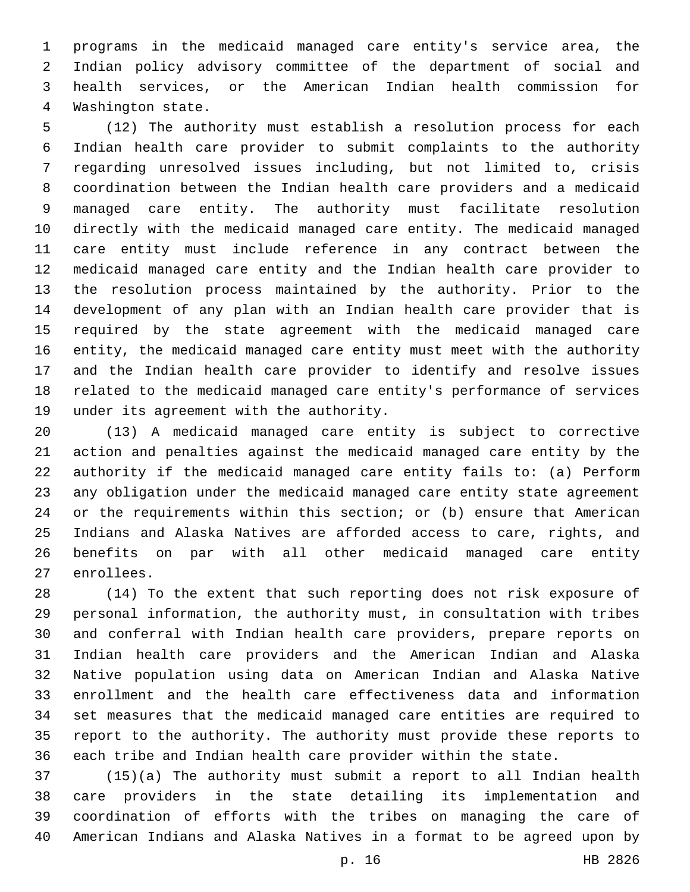programs in the medicaid managed care entity's service area, the Indian policy advisory committee of the department of social and health services, or the American Indian health commission for 4 Washington state.

 (12) The authority must establish a resolution process for each Indian health care provider to submit complaints to the authority regarding unresolved issues including, but not limited to, crisis coordination between the Indian health care providers and a medicaid managed care entity. The authority must facilitate resolution directly with the medicaid managed care entity. The medicaid managed care entity must include reference in any contract between the medicaid managed care entity and the Indian health care provider to the resolution process maintained by the authority. Prior to the development of any plan with an Indian health care provider that is required by the state agreement with the medicaid managed care entity, the medicaid managed care entity must meet with the authority and the Indian health care provider to identify and resolve issues related to the medicaid managed care entity's performance of services 19 under its agreement with the authority.

 (13) A medicaid managed care entity is subject to corrective action and penalties against the medicaid managed care entity by the authority if the medicaid managed care entity fails to: (a) Perform any obligation under the medicaid managed care entity state agreement or the requirements within this section; or (b) ensure that American Indians and Alaska Natives are afforded access to care, rights, and benefits on par with all other medicaid managed care entity 27 enrollees.

 (14) To the extent that such reporting does not risk exposure of personal information, the authority must, in consultation with tribes and conferral with Indian health care providers, prepare reports on Indian health care providers and the American Indian and Alaska Native population using data on American Indian and Alaska Native enrollment and the health care effectiveness data and information set measures that the medicaid managed care entities are required to report to the authority. The authority must provide these reports to each tribe and Indian health care provider within the state.

 (15)(a) The authority must submit a report to all Indian health care providers in the state detailing its implementation and coordination of efforts with the tribes on managing the care of American Indians and Alaska Natives in a format to be agreed upon by

p. 16 HB 2826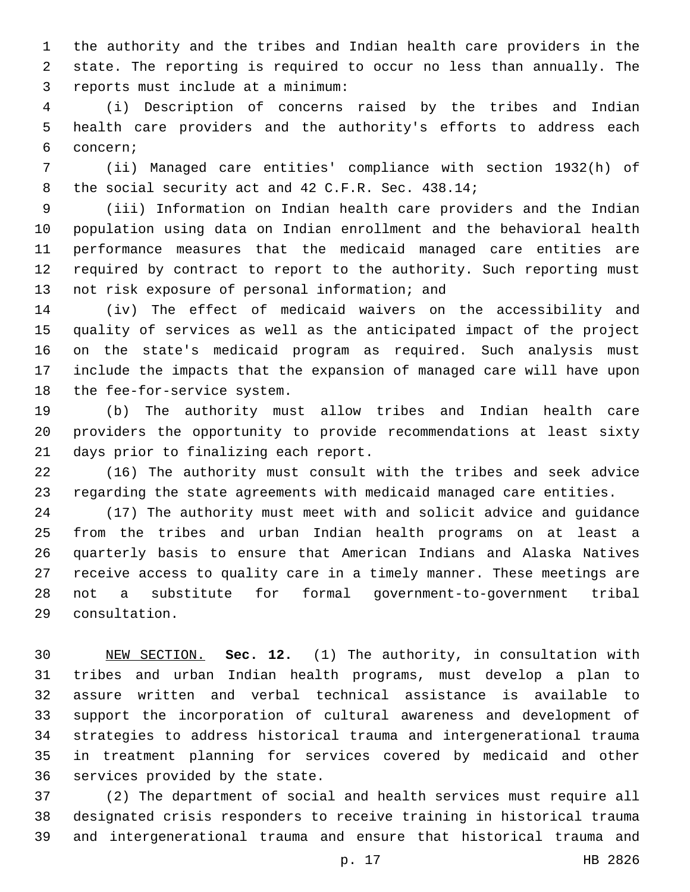the authority and the tribes and Indian health care providers in the state. The reporting is required to occur no less than annually. The reports must include at a minimum:3

 (i) Description of concerns raised by the tribes and Indian health care providers and the authority's efforts to address each concern;6

 (ii) Managed care entities' compliance with section 1932(h) of 8 the social security act and 42 C.F.R. Sec. 438.14;

 (iii) Information on Indian health care providers and the Indian population using data on Indian enrollment and the behavioral health performance measures that the medicaid managed care entities are required by contract to report to the authority. Such reporting must 13 not risk exposure of personal information; and

 (iv) The effect of medicaid waivers on the accessibility and quality of services as well as the anticipated impact of the project on the state's medicaid program as required. Such analysis must include the impacts that the expansion of managed care will have upon 18 the fee-for-service system.

 (b) The authority must allow tribes and Indian health care providers the opportunity to provide recommendations at least sixty 21 days prior to finalizing each report.

 (16) The authority must consult with the tribes and seek advice regarding the state agreements with medicaid managed care entities.

 (17) The authority must meet with and solicit advice and guidance from the tribes and urban Indian health programs on at least a quarterly basis to ensure that American Indians and Alaska Natives receive access to quality care in a timely manner. These meetings are not a substitute for formal government-to-government tribal consultation.29

 NEW SECTION. **Sec. 12.** (1) The authority, in consultation with tribes and urban Indian health programs, must develop a plan to assure written and verbal technical assistance is available to support the incorporation of cultural awareness and development of strategies to address historical trauma and intergenerational trauma in treatment planning for services covered by medicaid and other services provided by the state.

 (2) The department of social and health services must require all designated crisis responders to receive training in historical trauma and intergenerational trauma and ensure that historical trauma and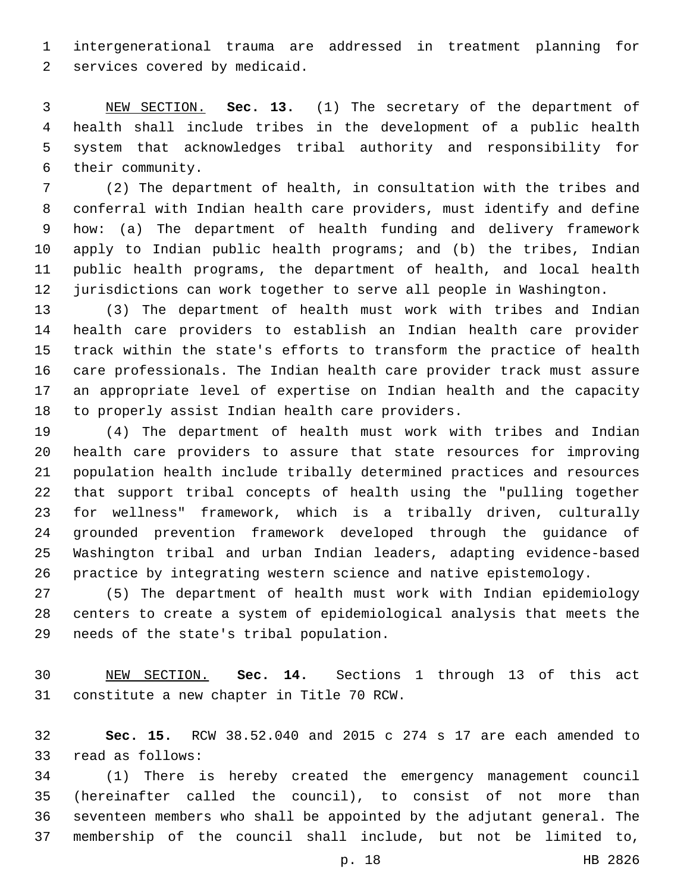intergenerational trauma are addressed in treatment planning for 2 services covered by medicaid.

 NEW SECTION. **Sec. 13.** (1) The secretary of the department of health shall include tribes in the development of a public health system that acknowledges tribal authority and responsibility for their community.

 (2) The department of health, in consultation with the tribes and conferral with Indian health care providers, must identify and define how: (a) The department of health funding and delivery framework apply to Indian public health programs; and (b) the tribes, Indian public health programs, the department of health, and local health jurisdictions can work together to serve all people in Washington.

 (3) The department of health must work with tribes and Indian health care providers to establish an Indian health care provider track within the state's efforts to transform the practice of health care professionals. The Indian health care provider track must assure an appropriate level of expertise on Indian health and the capacity 18 to properly assist Indian health care providers.

 (4) The department of health must work with tribes and Indian health care providers to assure that state resources for improving population health include tribally determined practices and resources that support tribal concepts of health using the "pulling together for wellness" framework, which is a tribally driven, culturally grounded prevention framework developed through the guidance of Washington tribal and urban Indian leaders, adapting evidence-based practice by integrating western science and native epistemology.

 (5) The department of health must work with Indian epidemiology centers to create a system of epidemiological analysis that meets the 29 needs of the state's tribal population.

 NEW SECTION. **Sec. 14.** Sections 1 through 13 of this act constitute a new chapter in Title 70 RCW.

 **Sec. 15.** RCW 38.52.040 and 2015 c 274 s 17 are each amended to 33 read as follows:

 (1) There is hereby created the emergency management council (hereinafter called the council), to consist of not more than seventeen members who shall be appointed by the adjutant general. The membership of the council shall include, but not be limited to,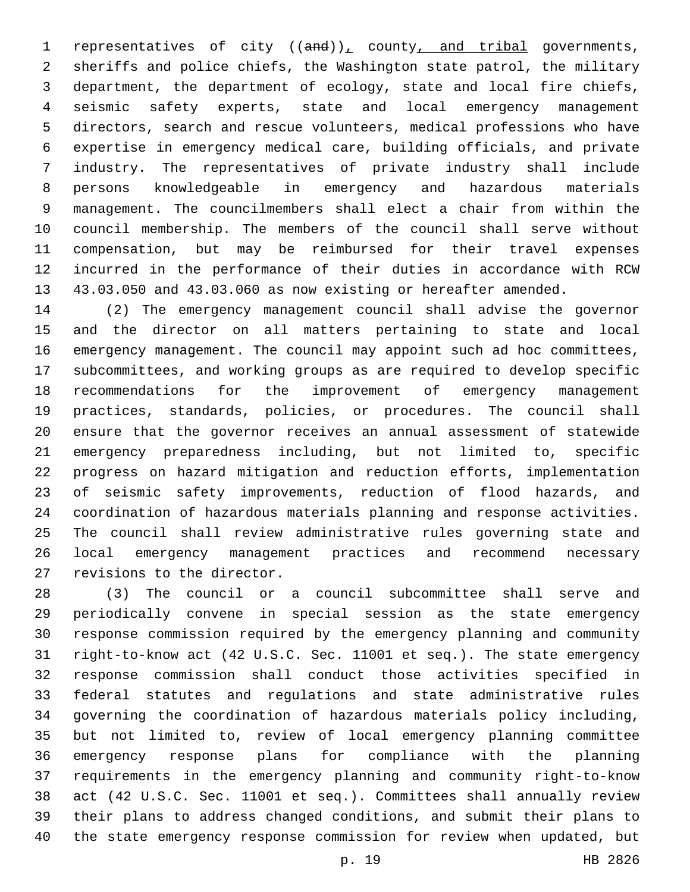1 representatives of city  $((and))_L$  county, and tribal governments, sheriffs and police chiefs, the Washington state patrol, the military department, the department of ecology, state and local fire chiefs, seismic safety experts, state and local emergency management directors, search and rescue volunteers, medical professions who have expertise in emergency medical care, building officials, and private industry. The representatives of private industry shall include persons knowledgeable in emergency and hazardous materials management. The councilmembers shall elect a chair from within the council membership. The members of the council shall serve without compensation, but may be reimbursed for their travel expenses incurred in the performance of their duties in accordance with RCW 43.03.050 and 43.03.060 as now existing or hereafter amended.

 (2) The emergency management council shall advise the governor and the director on all matters pertaining to state and local emergency management. The council may appoint such ad hoc committees, subcommittees, and working groups as are required to develop specific recommendations for the improvement of emergency management practices, standards, policies, or procedures. The council shall ensure that the governor receives an annual assessment of statewide emergency preparedness including, but not limited to, specific progress on hazard mitigation and reduction efforts, implementation of seismic safety improvements, reduction of flood hazards, and coordination of hazardous materials planning and response activities. The council shall review administrative rules governing state and local emergency management practices and recommend necessary 27 revisions to the director.

 (3) The council or a council subcommittee shall serve and periodically convene in special session as the state emergency response commission required by the emergency planning and community right-to-know act (42 U.S.C. Sec. 11001 et seq.). The state emergency response commission shall conduct those activities specified in federal statutes and regulations and state administrative rules governing the coordination of hazardous materials policy including, but not limited to, review of local emergency planning committee emergency response plans for compliance with the planning requirements in the emergency planning and community right-to-know act (42 U.S.C. Sec. 11001 et seq.). Committees shall annually review their plans to address changed conditions, and submit their plans to the state emergency response commission for review when updated, but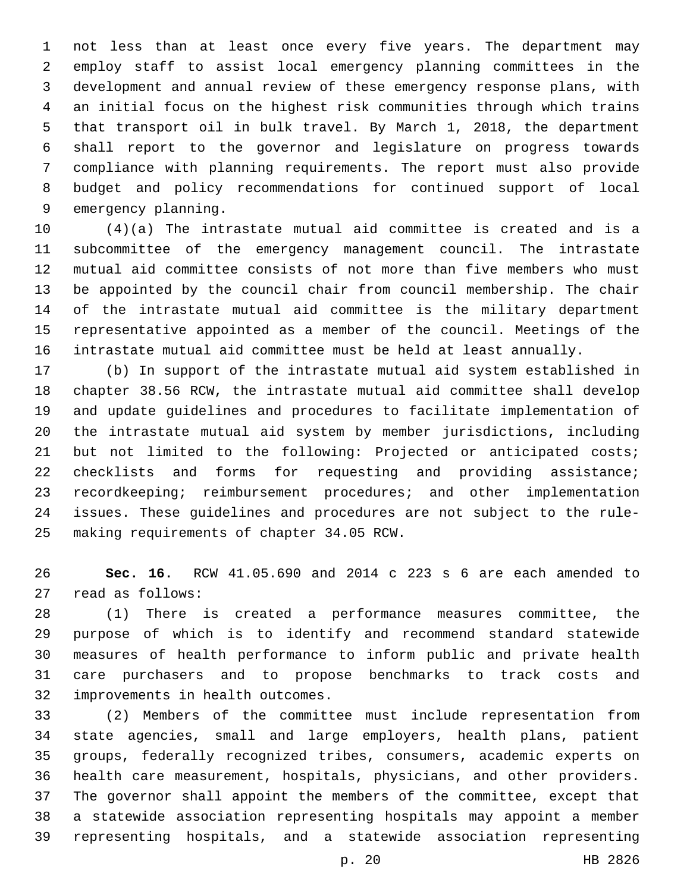not less than at least once every five years. The department may employ staff to assist local emergency planning committees in the development and annual review of these emergency response plans, with an initial focus on the highest risk communities through which trains that transport oil in bulk travel. By March 1, 2018, the department shall report to the governor and legislature on progress towards compliance with planning requirements. The report must also provide budget and policy recommendations for continued support of local 9 emergency planning.

 (4)(a) The intrastate mutual aid committee is created and is a subcommittee of the emergency management council. The intrastate mutual aid committee consists of not more than five members who must be appointed by the council chair from council membership. The chair of the intrastate mutual aid committee is the military department representative appointed as a member of the council. Meetings of the intrastate mutual aid committee must be held at least annually.

 (b) In support of the intrastate mutual aid system established in chapter 38.56 RCW, the intrastate mutual aid committee shall develop and update guidelines and procedures to facilitate implementation of the intrastate mutual aid system by member jurisdictions, including but not limited to the following: Projected or anticipated costs; checklists and forms for requesting and providing assistance; recordkeeping; reimbursement procedures; and other implementation issues. These guidelines and procedures are not subject to the rule-25 making requirements of chapter 34.05 RCW.

 **Sec. 16.** RCW 41.05.690 and 2014 c 223 s 6 are each amended to 27 read as follows:

 (1) There is created a performance measures committee, the purpose of which is to identify and recommend standard statewide measures of health performance to inform public and private health care purchasers and to propose benchmarks to track costs and 32 improvements in health outcomes.

 (2) Members of the committee must include representation from state agencies, small and large employers, health plans, patient groups, federally recognized tribes, consumers, academic experts on health care measurement, hospitals, physicians, and other providers. The governor shall appoint the members of the committee, except that a statewide association representing hospitals may appoint a member representing hospitals, and a statewide association representing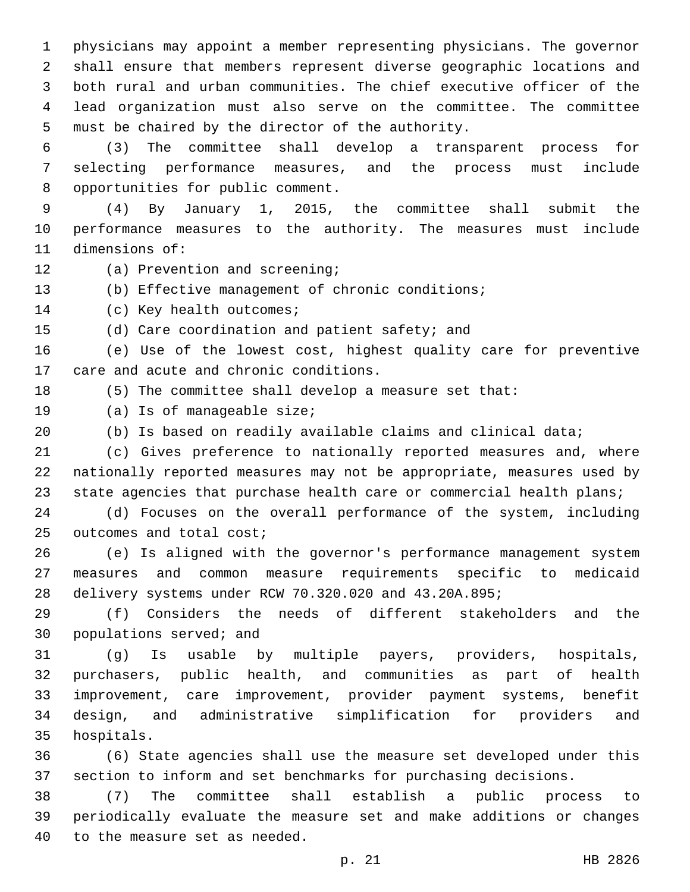physicians may appoint a member representing physicians. The governor shall ensure that members represent diverse geographic locations and both rural and urban communities. The chief executive officer of the lead organization must also serve on the committee. The committee 5 must be chaired by the director of the authority.

 (3) The committee shall develop a transparent process for selecting performance measures, and the process must include 8 opportunities for public comment.

 (4) By January 1, 2015, the committee shall submit the performance measures to the authority. The measures must include 11 dimensions of:

- 12 (a) Prevention and screening;
- (b) Effective management of chronic conditions;

14 (c) Key health outcomes;

15 (d) Care coordination and patient safety; and

 (e) Use of the lowest cost, highest quality care for preventive 17 care and acute and chronic conditions.

(5) The committee shall develop a measure set that:

- 19 (a) Is of manageable size;
- (b) Is based on readily available claims and clinical data;

 (c) Gives preference to nationally reported measures and, where nationally reported measures may not be appropriate, measures used by 23 state agencies that purchase health care or commercial health plans;

 (d) Focuses on the overall performance of the system, including 25 outcomes and total cost;

 (e) Is aligned with the governor's performance management system measures and common measure requirements specific to medicaid delivery systems under RCW 70.320.020 and 43.20A.895;

 (f) Considers the needs of different stakeholders and the 30 populations served; and

 (g) Is usable by multiple payers, providers, hospitals, purchasers, public health, and communities as part of health improvement, care improvement, provider payment systems, benefit design, and administrative simplification for providers and 35 hospitals.

 (6) State agencies shall use the measure set developed under this section to inform and set benchmarks for purchasing decisions.

 (7) The committee shall establish a public process to periodically evaluate the measure set and make additions or changes 40 to the measure set as needed.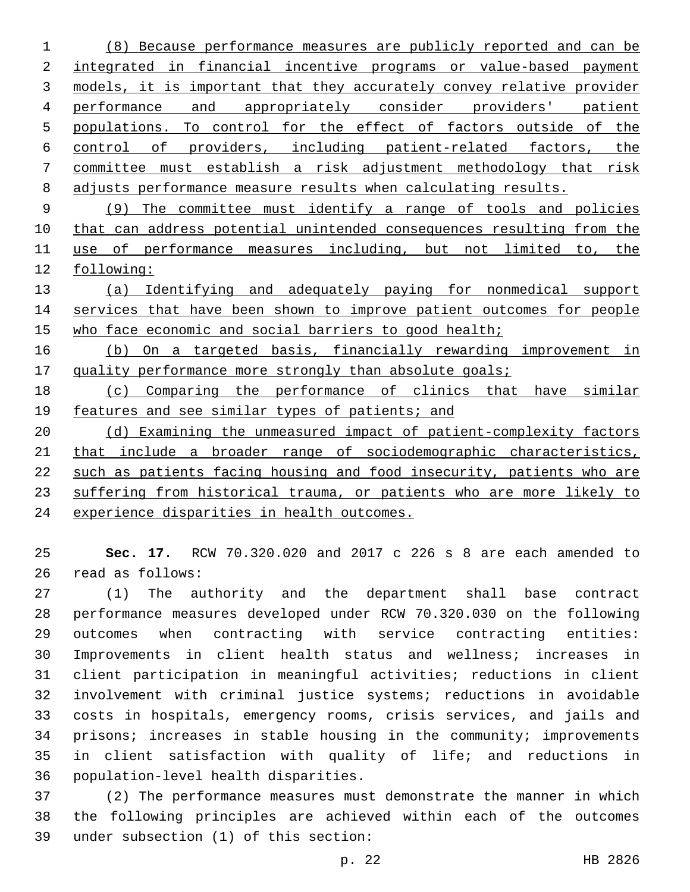(8) Because performance measures are publicly reported and can be 2 integrated in financial incentive programs or value-based payment models, it is important that they accurately convey relative provider performance and appropriately consider providers' patient populations. To control for the effect of factors outside of the control of providers, including patient-related factors, the committee must establish a risk adjustment methodology that risk adjusts performance measure results when calculating results.

 (9) The committee must identify a range of tools and policies that can address potential unintended consequences resulting from the use of performance measures including, but not limited to, the following:

 (a) Identifying and adequately paying for nonmedical support 14 services that have been shown to improve patient outcomes for people who face economic and social barriers to good health;

 (b) On a targeted basis, financially rewarding improvement in 17 quality performance more strongly than absolute goals;

 (c) Comparing the performance of clinics that have similar 19 features and see similar types of patients; and

 (d) Examining the unmeasured impact of patient-complexity factors that include a broader range of sociodemographic characteristics, such as patients facing housing and food insecurity, patients who are suffering from historical trauma, or patients who are more likely to experience disparities in health outcomes.

 **Sec. 17.** RCW 70.320.020 and 2017 c 226 s 8 are each amended to 26 read as follows:

 (1) The authority and the department shall base contract performance measures developed under RCW 70.320.030 on the following outcomes when contracting with service contracting entities: Improvements in client health status and wellness; increases in client participation in meaningful activities; reductions in client involvement with criminal justice systems; reductions in avoidable costs in hospitals, emergency rooms, crisis services, and jails and prisons; increases in stable housing in the community; improvements in client satisfaction with quality of life; and reductions in 36 population-level health disparities.

 (2) The performance measures must demonstrate the manner in which the following principles are achieved within each of the outcomes under subsection (1) of this section:39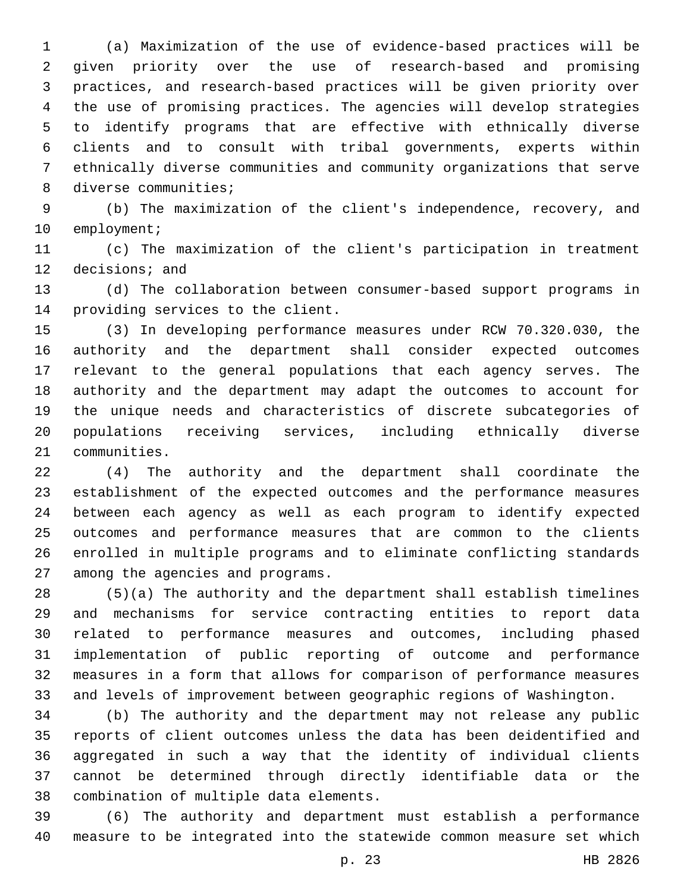(a) Maximization of the use of evidence-based practices will be given priority over the use of research-based and promising practices, and research-based practices will be given priority over the use of promising practices. The agencies will develop strategies to identify programs that are effective with ethnically diverse clients and to consult with tribal governments, experts within ethnically diverse communities and community organizations that serve 8 diverse communities;

 (b) The maximization of the client's independence, recovery, and 10 employment;

 (c) The maximization of the client's participation in treatment 12 decisions; and

 (d) The collaboration between consumer-based support programs in 14 providing services to the client.

 (3) In developing performance measures under RCW 70.320.030, the authority and the department shall consider expected outcomes relevant to the general populations that each agency serves. The authority and the department may adapt the outcomes to account for the unique needs and characteristics of discrete subcategories of populations receiving services, including ethnically diverse 21 communities.

 (4) The authority and the department shall coordinate the establishment of the expected outcomes and the performance measures between each agency as well as each program to identify expected outcomes and performance measures that are common to the clients enrolled in multiple programs and to eliminate conflicting standards 27 among the agencies and programs.

 (5)(a) The authority and the department shall establish timelines and mechanisms for service contracting entities to report data related to performance measures and outcomes, including phased implementation of public reporting of outcome and performance measures in a form that allows for comparison of performance measures and levels of improvement between geographic regions of Washington.

 (b) The authority and the department may not release any public reports of client outcomes unless the data has been deidentified and aggregated in such a way that the identity of individual clients cannot be determined through directly identifiable data or the 38 combination of multiple data elements.

 (6) The authority and department must establish a performance measure to be integrated into the statewide common measure set which

p. 23 HB 2826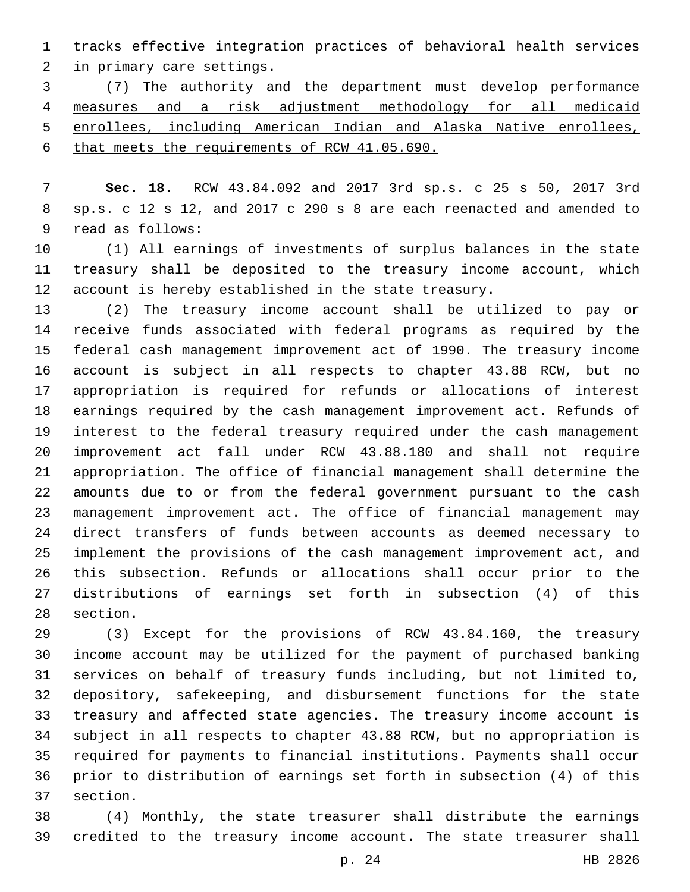tracks effective integration practices of behavioral health services 2 in primary care settings.

 (7) The authority and the department must develop performance measures and a risk adjustment methodology for all medicaid enrollees, including American Indian and Alaska Native enrollees, that meets the requirements of RCW 41.05.690.

 **Sec. 18.** RCW 43.84.092 and 2017 3rd sp.s. c 25 s 50, 2017 3rd sp.s. c 12 s 12, and 2017 c 290 s 8 are each reenacted and amended to 9 read as follows:

 (1) All earnings of investments of surplus balances in the state treasury shall be deposited to the treasury income account, which account is hereby established in the state treasury.

 (2) The treasury income account shall be utilized to pay or receive funds associated with federal programs as required by the federal cash management improvement act of 1990. The treasury income account is subject in all respects to chapter 43.88 RCW, but no appropriation is required for refunds or allocations of interest earnings required by the cash management improvement act. Refunds of interest to the federal treasury required under the cash management improvement act fall under RCW 43.88.180 and shall not require appropriation. The office of financial management shall determine the amounts due to or from the federal government pursuant to the cash management improvement act. The office of financial management may direct transfers of funds between accounts as deemed necessary to implement the provisions of the cash management improvement act, and this subsection. Refunds or allocations shall occur prior to the distributions of earnings set forth in subsection (4) of this 28 section.

 (3) Except for the provisions of RCW 43.84.160, the treasury income account may be utilized for the payment of purchased banking services on behalf of treasury funds including, but not limited to, depository, safekeeping, and disbursement functions for the state treasury and affected state agencies. The treasury income account is subject in all respects to chapter 43.88 RCW, but no appropriation is required for payments to financial institutions. Payments shall occur prior to distribution of earnings set forth in subsection (4) of this 37 section.

 (4) Monthly, the state treasurer shall distribute the earnings credited to the treasury income account. The state treasurer shall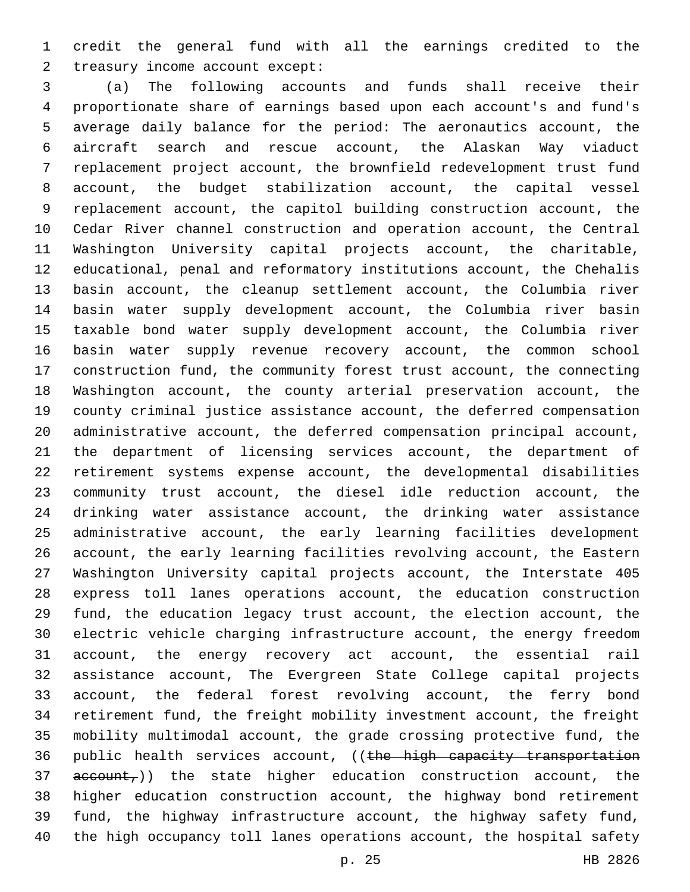credit the general fund with all the earnings credited to the 2 treasury income account except:

 (a) The following accounts and funds shall receive their proportionate share of earnings based upon each account's and fund's average daily balance for the period: The aeronautics account, the aircraft search and rescue account, the Alaskan Way viaduct replacement project account, the brownfield redevelopment trust fund account, the budget stabilization account, the capital vessel replacement account, the capitol building construction account, the Cedar River channel construction and operation account, the Central Washington University capital projects account, the charitable, educational, penal and reformatory institutions account, the Chehalis basin account, the cleanup settlement account, the Columbia river basin water supply development account, the Columbia river basin taxable bond water supply development account, the Columbia river basin water supply revenue recovery account, the common school construction fund, the community forest trust account, the connecting Washington account, the county arterial preservation account, the county criminal justice assistance account, the deferred compensation administrative account, the deferred compensation principal account, the department of licensing services account, the department of retirement systems expense account, the developmental disabilities community trust account, the diesel idle reduction account, the drinking water assistance account, the drinking water assistance administrative account, the early learning facilities development account, the early learning facilities revolving account, the Eastern Washington University capital projects account, the Interstate 405 express toll lanes operations account, the education construction fund, the education legacy trust account, the election account, the electric vehicle charging infrastructure account, the energy freedom account, the energy recovery act account, the essential rail assistance account, The Evergreen State College capital projects account, the federal forest revolving account, the ferry bond retirement fund, the freight mobility investment account, the freight mobility multimodal account, the grade crossing protective fund, the 36 public health services account, ((the high capacity transportation account,)) the state higher education construction account, the higher education construction account, the highway bond retirement fund, the highway infrastructure account, the highway safety fund, the high occupancy toll lanes operations account, the hospital safety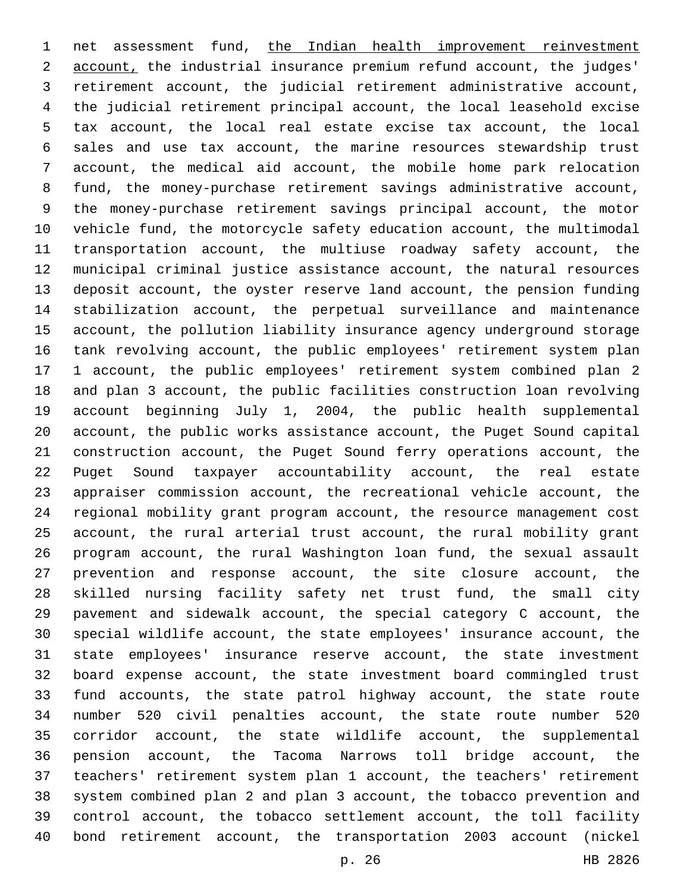net assessment fund, the Indian health improvement reinvestment account, the industrial insurance premium refund account, the judges' retirement account, the judicial retirement administrative account, the judicial retirement principal account, the local leasehold excise tax account, the local real estate excise tax account, the local sales and use tax account, the marine resources stewardship trust account, the medical aid account, the mobile home park relocation fund, the money-purchase retirement savings administrative account, the money-purchase retirement savings principal account, the motor vehicle fund, the motorcycle safety education account, the multimodal transportation account, the multiuse roadway safety account, the municipal criminal justice assistance account, the natural resources deposit account, the oyster reserve land account, the pension funding stabilization account, the perpetual surveillance and maintenance account, the pollution liability insurance agency underground storage tank revolving account, the public employees' retirement system plan 1 account, the public employees' retirement system combined plan 2 and plan 3 account, the public facilities construction loan revolving account beginning July 1, 2004, the public health supplemental account, the public works assistance account, the Puget Sound capital construction account, the Puget Sound ferry operations account, the Puget Sound taxpayer accountability account, the real estate appraiser commission account, the recreational vehicle account, the regional mobility grant program account, the resource management cost account, the rural arterial trust account, the rural mobility grant program account, the rural Washington loan fund, the sexual assault prevention and response account, the site closure account, the skilled nursing facility safety net trust fund, the small city pavement and sidewalk account, the special category C account, the special wildlife account, the state employees' insurance account, the state employees' insurance reserve account, the state investment board expense account, the state investment board commingled trust fund accounts, the state patrol highway account, the state route number 520 civil penalties account, the state route number 520 corridor account, the state wildlife account, the supplemental pension account, the Tacoma Narrows toll bridge account, the teachers' retirement system plan 1 account, the teachers' retirement system combined plan 2 and plan 3 account, the tobacco prevention and control account, the tobacco settlement account, the toll facility bond retirement account, the transportation 2003 account (nickel